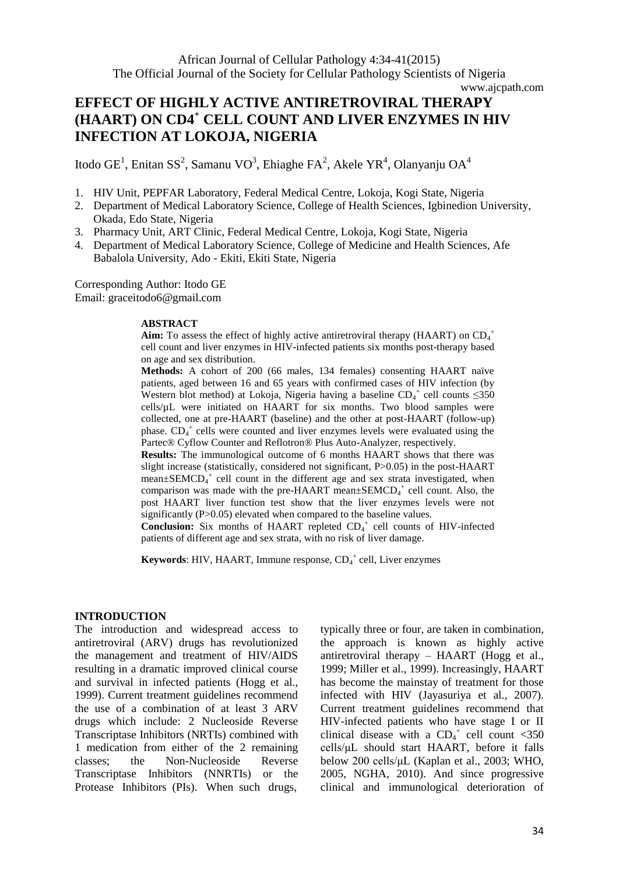# **EFFECT OF HIGHLY ACTIVE ANTIRETROVIRAL THERAPY (HAART) ON CD4<sup>+</sup> CELL COUNT AND LIVER ENZYMES IN HIV INFECTION AT LOKOJA, NIGERIA**

Itodo GE<sup>1</sup>, Enitan SS<sup>2</sup>, Samanu VO<sup>3</sup>, Ehiaghe FA<sup>2</sup>, Akele YR<sup>4</sup>, Olanyanju OA<sup>4</sup>

- 1. HIV Unit, PEPFAR Laboratory, Federal Medical Centre, Lokoja, Kogi State, Nigeria
- 2. Department of Medical Laboratory Science, College of Health Sciences, Igbinedion University, Okada, Edo State, Nigeria
- 3. Pharmacy Unit, ART Clinic, Federal Medical Centre, Lokoja, Kogi State, Nigeria
- 4. Department of Medical Laboratory Science, College of Medicine and Health Sciences, Afe Babalola University, Ado - Ekiti, Ekiti State, Nigeria

Corresponding Author: Itodo GE Email: graceitodo6@gmail.com

#### **ABSTRACT**

Aim: To assess the effect of highly active antiretroviral therapy (HAART) on CD<sub>4</sub><sup>+</sup> cell count and liver enzymes in HIV-infected patients six months post-therapy based on age and sex distribution.

**Methods:** A cohort of 200 (66 males, 134 females) consenting HAART naïve patients, aged between 16 and 65 years with confirmed cases of HIV infection (by Western blot method) at Lokoja, Nigeria having a baseline  $CD_4^+$  cell counts  $\leq$ 350 cells/µL were initiated on HAART for six months. Two blood samples were collected, one at pre-HAART (baseline) and the other at post-HAART (follow-up) phase.  $CD_4^+$  cells were counted and liver enzymes levels were evaluated using the Partec® Cyflow Counter and Reflotron® Plus Auto-Analyzer, respectively.

**Results:** The immunological outcome of 6 months HAART shows that there was slight increase (statistically, considered not significant, P>0.05) in the post-HAART mean±SEMCD<sub>4</sub><sup>+</sup> cell count in the different age and sex strata investigated, when comparison was made with the pre-HAART mean $\pm$ SEMCD<sub>4</sub><sup>+</sup> cell count. Also, the post HAART liver function test show that the liver enzymes levels were not significantly (P>0.05) elevated when compared to the baseline values.

Conclusion: Six months of HAART repleted CD<sub>4</sub><sup>+</sup> cell counts of HIV-infected patients of different age and sex strata, with no risk of liver damage.

**Keywords**: HIV, HAART, Immune response, CD<sub>4</sub><sup>+</sup> cell, Liver enzymes

### **INTRODUCTION**

The introduction and widespread access to antiretroviral (ARV) drugs has revolutionized the management and treatment of HIV/AIDS resulting in a dramatic improved clinical course and survival in infected patients (Hogg et al., 1999). Current treatment guidelines recommend the use of a combination of at least 3 ARV drugs which include: 2 Nucleoside Reverse Transcriptase Inhibitors (NRTIs) combined with 1 medication from either of the 2 remaining classes; the Non-Nucleoside Reverse Transcriptase Inhibitors (NNRTIs) or the Protease Inhibitors (PIs). When such drugs,

typically three or four, are taken in combination, the approach is known as highly active antiretroviral therapy – HAART (Hogg et al., 1999; Miller et al., 1999). Increasingly, HAART has become the mainstay of treatment for those infected with HIV (Jayasuriya et al., 2007). Current treatment guidelines recommend that HIV-infected patients who have stage I or II clinical disease with a  $CD<sub>4</sub><sup>+</sup>$  cell count <350 cells/μL should start HAART, before it falls below 200 cells/μL (Kaplan et al., 2003; WHO, 2005, NGHA, 2010). And since progressive clinical and immunological deterioration of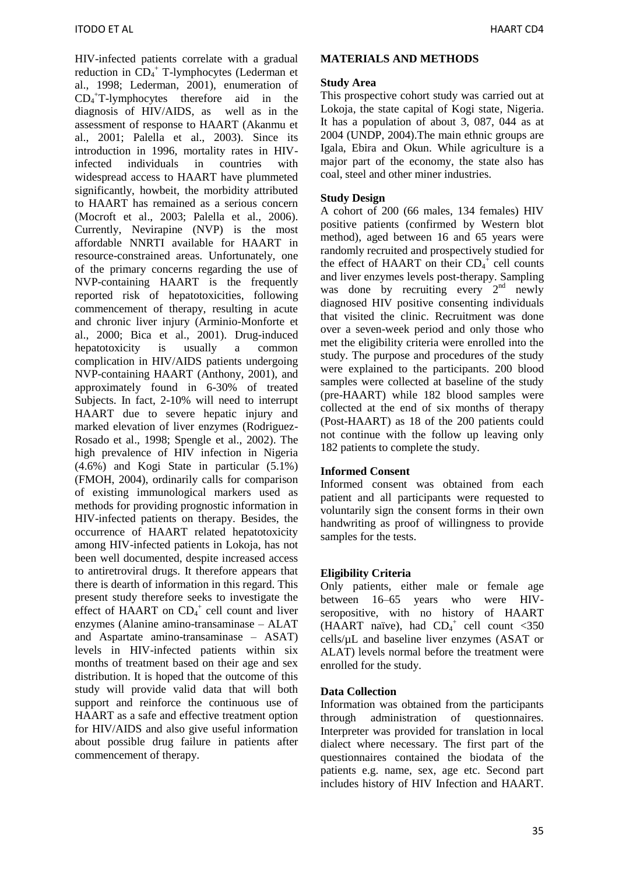HIV-infected patients correlate with a gradual reduction in CD<sub>4</sub><sup>+</sup> T-lymphocytes (Lederman et al., 1998; Lederman, 2001), enumeration of CD<sup>4</sup> <sup>+</sup>T-lymphocytes therefore aid in the diagnosis of HIV/AIDS, as well as in the assessment of response to HAART (Akanmu et al., 2001; Palella et al., 2003). Since its introduction in 1996, mortality rates in HIVinfected individuals in countries with widespread access to HAART have plummeted significantly, howbeit, the morbidity attributed to HAART has remained as a serious concern (Mocroft et al., 2003; Palella et al., 2006). Currently, Nevirapine (NVP) is the most affordable NNRTI available for HAART in resource-constrained areas. Unfortunately, one of the primary concerns regarding the use of NVP-containing HAART is the frequently reported risk of hepatotoxicities, following commencement of therapy, resulting in acute and chronic liver injury (Arminio-Monforte et al., 2000; Bica et al., 2001). Drug-induced hepatotoxicity is usually a common complication in HIV/AIDS patients undergoing NVP-containing HAART (Anthony, 2001), and approximately found in 6-30% of treated Subjects. In fact, 2-10% will need to interrupt HAART due to severe hepatic injury and marked elevation of liver enzymes (Rodriguez-Rosado et al., 1998; Spengle et al., 2002). The high prevalence of HIV infection in Nigeria (4.6%) and Kogi State in particular (5.1%) (FMOH, 2004), ordinarily calls for comparison of existing immunological markers used as methods for providing prognostic information in HIV-infected patients on therapy. Besides, the occurrence of HAART related hepatotoxicity among HIV-infected patients in Lokoja, has not been well documented, despite increased access to antiretroviral drugs. It therefore appears that there is dearth of information in this regard. This present study therefore seeks to investigate the effect of HAART on  $CD_4^+$  cell count and liver enzymes (Alanine amino-transaminase – ALAT and Aspartate amino-transaminase – ASAT) levels in HIV-infected patients within six months of treatment based on their age and sex distribution. It is hoped that the outcome of this study will provide valid data that will both support and reinforce the continuous use of HAART as a safe and effective treatment option for HIV/AIDS and also give useful information about possible drug failure in patients after commencement of therapy.

### **MATERIALS AND METHODS**

### **Study Area**

This prospective cohort study was carried out at Lokoja, the state capital of Kogi state, Nigeria. It has a population of about 3, 087, 044 as at 2004 (UNDP, 2004).The main ethnic groups are Igala, Ebira and Okun. While agriculture is a major part of the economy, the state also has coal, steel and other miner industries.

### **Study Design**

A cohort of 200 (66 males, 134 females) HIV positive patients (confirmed by Western blot method), aged between 16 and 65 years were randomly recruited and prospectively studied for the effect of HAART on their  $CD_4^{\text{+}}$  cell counts and liver enzymes levels post-therapy. Sampling was done by recruiting every 2<sup>nd</sup> newly diagnosed HIV positive consenting individuals that visited the clinic. Recruitment was done over a seven-week period and only those who met the eligibility criteria were enrolled into the study. The purpose and procedures of the study were explained to the participants. 200 blood samples were collected at baseline of the study (pre-HAART) while 182 blood samples were collected at the end of six months of therapy (Post-HAART) as 18 of the 200 patients could not continue with the follow up leaving only 182 patients to complete the study.

### **Informed Consent**

Informed consent was obtained from each patient and all participants were requested to voluntarily sign the consent forms in their own handwriting as proof of willingness to provide samples for the tests.

#### **Eligibility Criteria**

Only patients, either male or female age between 16–65 years who were HIVseropositive, with no history of HAART (HAART naïve), had  $CD<sub>4</sub><sup>+</sup>$  cell count <350 cells/µL and baseline liver enzymes (ASAT or ALAT) levels normal before the treatment were enrolled for the study.

### **Data Collection**

Information was obtained from the participants through administration of questionnaires. Interpreter was provided for translation in local dialect where necessary. The first part of the questionnaires contained the biodata of the patients e.g. name, sex, age etc. Second part includes history of HIV Infection and HAART.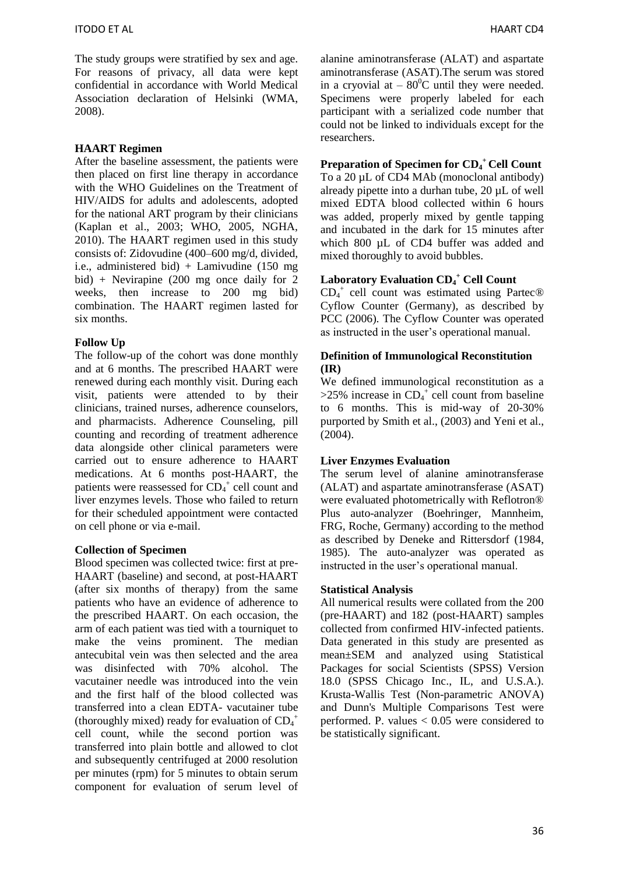The study groups were stratified by sex and age. For reasons of privacy, all data were kept confidential in accordance with World Medical Association declaration of Helsinki (WMA, 2008).

### **HAART Regimen**

After the baseline assessment, the patients were then placed on first line therapy in accordance with the WHO Guidelines on the Treatment of HIV/AIDS for adults and adolescents, adopted for the national ART program by their clinicians (Kaplan et al., 2003; WHO, 2005, NGHA, 2010). The HAART regimen used in this study consists of: Zidovudine (400–600 mg/d, divided, i.e., administered bid) + Lamivudine (150 mg bid) + Nevirapine (200 mg once daily for 2 weeks, then increase to 200 mg bid) combination. The HAART regimen lasted for six months.

#### **Follow Up**

The follow-up of the cohort was done monthly and at 6 months. The prescribed HAART were renewed during each monthly visit. During each visit, patients were attended to by their clinicians, trained nurses, adherence counselors, and pharmacists. Adherence Counseling, pill counting and recording of treatment adherence data alongside other clinical parameters were carried out to ensure adherence to HAART medications. At 6 months post-HAART, the patients were reassessed for  $CD_4^+$  cell count and liver enzymes levels. Those who failed to return for their scheduled appointment were contacted on cell phone or via e-mail.

#### **Collection of Specimen**

Blood specimen was collected twice: first at pre-HAART (baseline) and second, at post-HAART (after six months of therapy) from the same patients who have an evidence of adherence to the prescribed HAART. On each occasion, the arm of each patient was tied with a tourniquet to make the veins prominent. The median antecubital vein was then selected and the area was disinfected with 70% alcohol. The vacutainer needle was introduced into the vein and the first half of the blood collected was transferred into a clean EDTA- vacutainer tube (thoroughly mixed) ready for evaluation of  $CD_4^+$ cell count, while the second portion was transferred into plain bottle and allowed to clot and subsequently centrifuged at 2000 resolution per minutes (rpm) for 5 minutes to obtain serum component for evaluation of serum level of alanine aminotransferase (ALAT) and aspartate aminotransferase (ASAT).The serum was stored in a cryovial at  $-80^{\circ}$ C until they were needed. Specimens were properly labeled for each participant with a serialized code number that could not be linked to individuals except for the researchers.

## **Preparation of Specimen for CD<sup>4</sup> <sup>+</sup> Cell Count**

To a 20 µL of CD4 MAb (monoclonal antibody) already pipette into a durhan tube, 20 µL of well mixed EDTA blood collected within 6 hours was added, properly mixed by gentle tapping and incubated in the dark for 15 minutes after which 800 µL of CD4 buffer was added and mixed thoroughly to avoid bubbles.

## **Laboratory Evaluation CD<sup>4</sup> <sup>+</sup> Cell Count**

CD<sup>4</sup> + cell count was estimated using Partec® Cyflow Counter (Germany), as described by PCC (2006). The Cyflow Counter was operated as instructed in the user's operational manual.

#### **Definition of Immunological Reconstitution (IR)**

We defined immunological reconstitution as a  $>25\%$  increase in CD<sub>4</sub><sup>+</sup> cell count from baseline to 6 months. This is mid-way of 20-30% purported by Smith et al., (2003) and Yeni et al., (2004).

#### **Liver Enzymes Evaluation**

The serum level of alanine aminotransferase (ALAT) and aspartate aminotransferase (ASAT) were evaluated photometrically with Reflotron® Plus auto-analyzer (Boehringer, Mannheim, FRG, Roche, Germany) according to the method as described by Deneke and Rittersdorf (1984, 1985). The auto-analyzer was operated as instructed in the user's operational manual.

#### **Statistical Analysis**

All numerical results were collated from the 200 (pre-HAART) and 182 (post-HAART) samples collected from confirmed HIV-infected patients. Data generated in this study are presented as mean±SEM and analyzed using Statistical Packages for social Scientists (SPSS) Version 18.0 (SPSS Chicago Inc., IL, and U.S.A.). Krusta-Wallis Test (Non-parametric ANOVA) and Dunn's Multiple Comparisons Test were performed. P. values < 0.05 were considered to be statistically significant.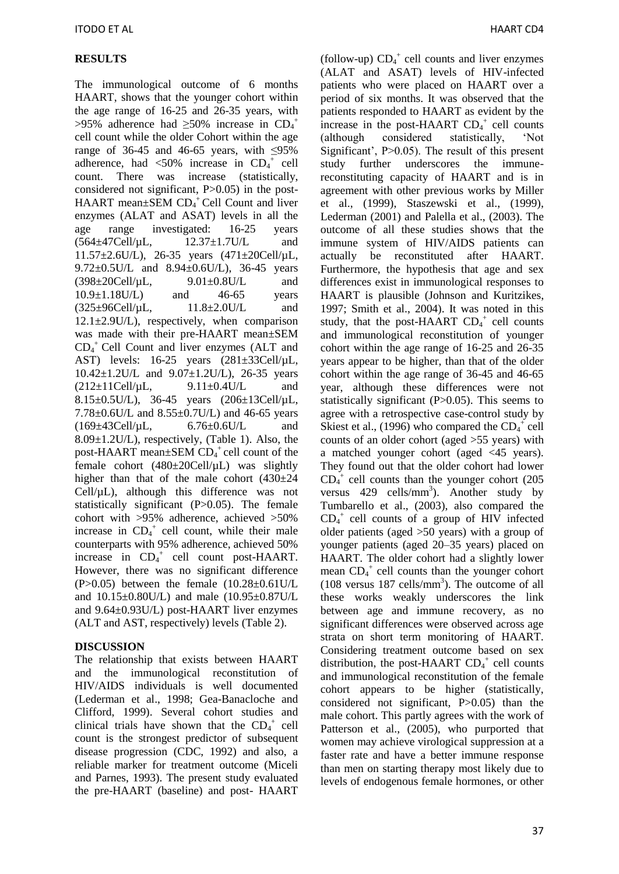# **RESULTS**

The immunological outcome of 6 months HAART, shows that the younger cohort within the age range of 16-25 and 26-35 years, with >95% adherence had  $\geq$ 50% increase in CD<sub>4</sub><sup>+</sup> cell count while the older Cohort within the age range of 36-45 and 46-65 years, with  $\leq$ 95% adherence, had  $\langle 50\%$  increase in CD<sub>4</sub><sup>+</sup> cell count. There was increase (statistically, considered not significant, P>0.05) in the post-HAART mean±SEM CD<sub>4</sub><sup>+</sup>Cell Count and liver enzymes (ALAT and ASAT) levels in all the age range investigated: 16-25 years (564±47Cell/µL, 12.37±1.7U/L and 11.57±2.6U/L), 26-35 years (471±20Cell/µL, 9.72±0.5U/L and 8.94±0.6U/L), 36-45 years  $(398 \pm 20)$ Cell/µL, 9.01 $\pm$ 0.8U/L and 10.9±1.18U/L) and 46-65 years  $(325\pm96\text{Cell/}\mu\text{L},$  11.8 $\pm 2.0\text{U/L}$  and 12.1±2.9U/L), respectively, when comparison was made with their pre-HAART mean±SEM CD<sup>4</sup> <sup>+</sup>Cell Count and liver enzymes (ALT and AST) levels: 16-25 years (281±33Cell/µL, 10.42±1.2U/L and 9.07±1.2U/L), 26-35 years  $(212 \pm 11 \text{Cell/}\mu\text{L},$  9.11 $\pm 0.4 \text{U/L}$  and 8.15±0.5U/L), 36-45 years (206±13Cell/µL, 7.78±0.6U/L and 8.55±0.7U/L) and 46-65 years (169±43Cell/µL, 6.76±0.6U/L and  $8.09\pm1.2$ U/L), respectively, (Table 1). Also, the post-HAART mean $\pm$ SEM CD<sub>4</sub><sup>+</sup> cell count of the female cohort  $(480\pm20)$ Cell/ $\mu$ L) was slightly higher than that of the male cohort  $(430\pm24)$  $Cell<sub>\mu</sub>L$ , although this difference was not statistically significant (P>0.05). The female cohort with >95% adherence, achieved >50% increase in  $CD_4^+$  cell count, while their male counterparts with 95% adherence, achieved 50% increase in  $CD_4^+$  cell count post-HAART. However, there was no significant difference (P $>0.05$ ) between the female (10.28 $\pm$ 0.61U/L and 10.15±0.80U/L) and male (10.95±0.87U/L and 9.64±0.93U/L) post-HAART liver enzymes (ALT and AST, respectively) levels (Table 2).

### **DISCUSSION**

The relationship that exists between HAART and the immunological reconstitution of HIV/AIDS individuals is well documented (Lederman et al., 1998; Gea-Banacloche and Clifford, 1999). Several cohort studies and clinical trials have shown that the  $CD_4^+$  cell count is the strongest predictor of subsequent disease progression (CDC, 1992) and also, a reliable marker for treatment outcome (Miceli and Parnes, 1993). The present study evaluated the pre-HAART (baseline) and post- HAART

(follow-up)  $CD_4^+$  cell counts and liver enzymes (ALAT and ASAT) levels of HIV-infected patients who were placed on HAART over a period of six months. It was observed that the patients responded to HAART as evident by the increase in the post-HAART  $CD_4^+$  cell counts (although considered statistically, 'Not Significant', P>0.05). The result of this present study further underscores the immunereconstituting capacity of HAART and is in agreement with other previous works by Miller et al., (1999), Staszewski et al., (1999), Lederman (2001) and Palella et al., (2003). The outcome of all these studies shows that the immune system of HIV/AIDS patients can actually be reconstituted after HAART. Furthermore, the hypothesis that age and sex differences exist in immunological responses to HAART is plausible (Johnson and Kuritzikes, 1997; Smith et al., 2004). It was noted in this study, that the post-HAART  $CD_4^+$  cell counts and immunological reconstitution of younger cohort within the age range of 16-25 and 26-35 years appear to be higher, than that of the older cohort within the age range of 36-45 and 46-65 year, although these differences were not statistically significant (P>0.05). This seems to agree with a retrospective case-control study by Skiest et al., (1996) who compared the  $CD_4^+$  cell counts of an older cohort (aged >55 years) with a matched younger cohort (aged <45 years). They found out that the older cohort had lower  $CD<sub>4</sub><sup>+</sup>$  cell counts than the younger cohort (205 versus 429 cells/mm<sup>3</sup>). Another study by Tumbarello et al., (2003), also compared the  $CD<sub>4</sub><sup>+</sup>$  cell counts of a group of HIV infected older patients (aged >50 years) with a group of younger patients (aged 20–35 years) placed on HAART. The older cohort had a slightly lower mean CD<sub>4</sub><sup>+</sup> cell counts than the younger cohort  $(108 \text{ versus } 187 \text{ cells/mm}^3)$ . The outcome of all these works weakly underscores the link between age and immune recovery, as no significant differences were observed across age strata on short term monitoring of HAART. Considering treatment outcome based on sex distribution, the post-HAART  $CD<sub>4</sub><sup>+</sup>$  cell counts and immunological reconstitution of the female cohort appears to be higher (statistically, considered not significant, P>0.05) than the male cohort. This partly agrees with the work of Patterson et al., (2005), who purported that women may achieve virological suppression at a faster rate and have a better immune response than men on starting therapy most likely due to levels of endogenous female hormones, or other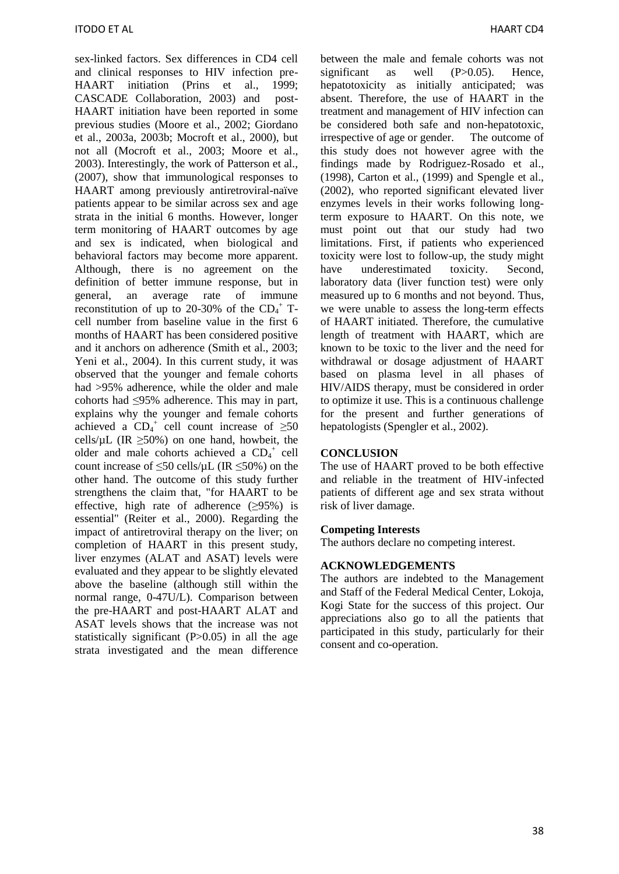sex-linked factors. Sex differences in CD4 cell and clinical responses to HIV infection pre-HAART initiation (Prins et al., 1999; CASCADE Collaboration, 2003) and post-HAART initiation have been reported in some previous studies (Moore et al., 2002; Giordano et al., 2003a, 2003b; Mocroft et al., 2000), but not all (Mocroft et al., 2003; Moore et al., 2003). Interestingly, the work of Patterson et al., (2007), show that immunological responses to HAART among previously antiretroviral-naïve patients appear to be similar across sex and age strata in the initial 6 months. However, longer term monitoring of HAART outcomes by age and sex is indicated, when biological and behavioral factors may become more apparent. Although, there is no agreement on the definition of better immune response, but in general, an average rate of immune reconstitution of up to 20-30% of the  $CD_4$ <sup>+</sup> Tcell number from baseline value in the first 6 months of HAART has been considered positive and it anchors on adherence (Smith et al., 2003; Yeni et al., 2004). In this current study, it was observed that the younger and female cohorts had >95% adherence, while the older and male cohorts had ≤95% adherence. This may in part, explains why the younger and female cohorts achieved a  $CD_4^+$  cell count increase of  $\geq 50$ cells/ $\mu$ L (IR  $>50\%$ ) on one hand, howbeit, the older and male cohorts achieved a  $CD_4^+$  cell count increase of  $\leq 50$  cells/ $\mu$ L (IR  $\leq 50\%$ ) on the other hand. The outcome of this study further strengthens the claim that, "for HAART to be effective, high rate of adherence  $(≥95%)$  is essential" (Reiter et al., 2000). Regarding the impact of antiretroviral therapy on the liver; on completion of HAART in this present study, liver enzymes (ALAT and ASAT) levels were evaluated and they appear to be slightly elevated above the baseline (although still within the normal range, 0-47U/L). Comparison between the pre-HAART and post-HAART ALAT and ASAT levels shows that the increase was not statistically significant  $(P>0.05)$  in all the age strata investigated and the mean difference

between the male and female cohorts was not significant as well (P>0.05). Hence, hepatotoxicity as initially anticipated; was absent. Therefore, the use of HAART in the treatment and management of HIV infection can be considered both safe and non-hepatotoxic, irrespective of age or gender. The outcome of this study does not however agree with the findings made by Rodriguez-Rosado et al., (1998), Carton et al., (1999) and Spengle et al., (2002), who reported significant elevated liver enzymes levels in their works following longterm exposure to HAART. On this note, we must point out that our study had two limitations. First, if patients who experienced toxicity were lost to follow-up, the study might have underestimated toxicity. Second, laboratory data (liver function test) were only measured up to 6 months and not beyond. Thus, we were unable to assess the long-term effects of HAART initiated. Therefore, the cumulative length of treatment with HAART, which are known to be toxic to the liver and the need for withdrawal or dosage adjustment of HAART based on plasma level in all phases of HIV/AIDS therapy, must be considered in order to optimize it use. This is a continuous challenge for the present and further generations of hepatologists (Spengler et al., 2002).

#### **CONCLUSION**

The use of HAART proved to be both effective and reliable in the treatment of HIV-infected patients of different age and sex strata without risk of liver damage.

#### **Competing Interests**

The authors declare no competing interest.

#### **ACKNOWLEDGEMENTS**

The authors are indebted to the Management and Staff of the Federal Medical Center, Lokoja, Kogi State for the success of this project. Our appreciations also go to all the patients that participated in this study, particularly for their consent and co-operation.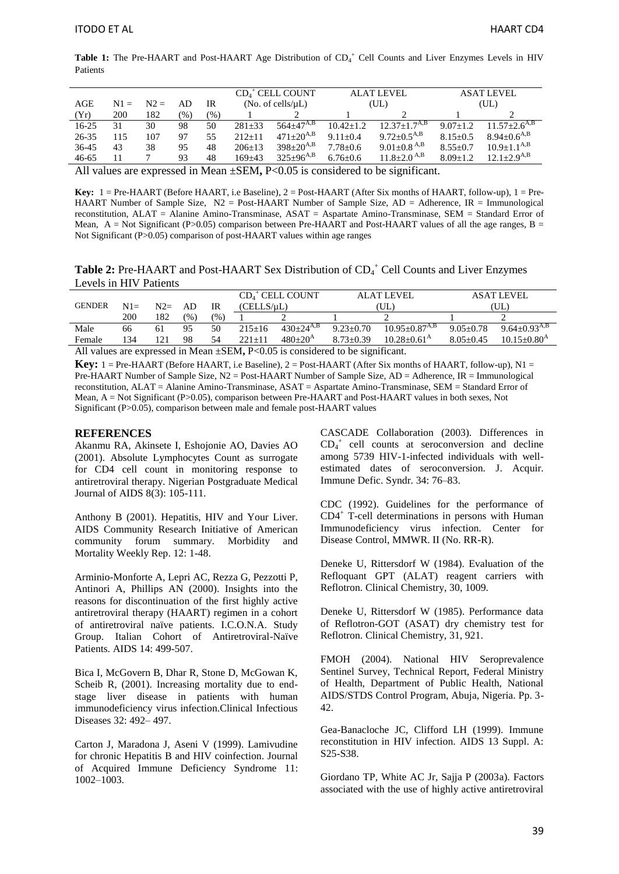Table 1: The Pre-HAART and Post-HAART Age Distribution of CD<sub>4</sub><sup>+</sup> Cell Counts and Liver Enzymes Levels in HIV Patients

|         |        |        |     |     |                          | $CD4+$ CELL COUNT  | <b>ALAT LEVEL</b> |                               | <b>ASAT LEVEL</b> |                                |
|---------|--------|--------|-----|-----|--------------------------|--------------------|-------------------|-------------------------------|-------------------|--------------------------------|
| AGE     | $N1 =$ | $N2 =$ | AD  | IR  | (No. of cells/ $\mu L$ ) |                    | (UL)              |                               | (UL)              |                                |
| (Yr)    | 200    | 182    | (%) | (%) |                          |                    |                   |                               |                   |                                |
| $16-25$ | 31     | 30     | 98  | 50  | $281 + 33$               | $564+47^{A,B}$     | $10.42 + 1.2$     | $12.37 \pm 1.7^{A,B}$         | $9.07 + 1.2$      | $11.57 \pm 2.6$ <sup>A,B</sup> |
| 26-35   | 115    | 107    | 97  | 55  | $212+11$                 | $471+20^{A,B}$     | $9.11 + 0.4$      | $9.72 \pm 0.5^{A,B}$          | $8.15 + 0.5$      | $8.94+0.6^{A,B}$               |
| 36-45   | 43     | 38     | 95  | 48  | $206+13$                 | $398 \pm 20^{A,B}$ | $7.78 + 0.6$      | $9.01 \pm 0.8$ <sup>A,B</sup> | $8.55+0.7$        | $10.9 \pm 1.1^{A,B}$           |
| 46-65   |        |        | 93  | 48  | $169 + 43$               | $325+96^{A,B}$     | $6.76 + 0.6$      | $11.8 \pm 2.0$ $^{A,B}$       | $8.09 + 1.2$      | $12.1 + 2.9^{A,B}$             |
|         |        |        |     |     |                          |                    |                   |                               |                   |                                |

All values are expressed in Mean  $\pm$ SEM, P<0.05 is considered to be significant.

**Key:** 1 = Pre-HAART (Before HAART, i.e Baseline), 2 = Post-HAART (After Six months of HAART, follow-up), 1 = Pre-HAART Number of Sample Size, N2 = Post-HAART Number of Sample Size, AD = Adherence, IR = Immunological reconstitution, ALAT = Alanine Amino-Transminase, ASAT = Aspartate Amino-Transminase, SEM = Standard Error of Mean,  $A = Not Significant (P>0.05)$  comparison between Pre-HAART and Post-HAART values of all the age ranges,  $B =$ Not Significant (P>0.05) comparison of post-HAART values within age ranges

Table 2: Pre-HAART and Post-HAART Sex Distribution of CD<sub>4</sub><sup>+</sup> Cell Counts and Liver Enzymes Levels in HIV Patients

|               |       |       |     |      | $CD4+$ CELL COUNT<br>(CELLS/uL) |                  | <b>ALAT LEVEL</b> |                               | <b>ASAT LEVEL</b> |                                |
|---------------|-------|-------|-----|------|---------------------------------|------------------|-------------------|-------------------------------|-------------------|--------------------------------|
| <b>GENDER</b> | $N1=$ | $N2=$ | AD  | IR   |                                 |                  | ′UL.              |                               | (UL)              |                                |
|               | 200   | 182   | (%) | (% ) |                                 |                  |                   |                               |                   |                                |
| Male          | 66    | 61    | 95  | 50   | $215 \pm 16$                    | $430+24^{A,B}$   | $9.23 + 0.70$     | $10.95 + 0.87$ <sup>A,B</sup> | $9.05 + 0.78$     | 9.64 $\pm$ 0.93 <sup>A,B</sup> |
| Female        | 134   | 121   | 98  | 54   | $221+11$                        | $480+20^{\rm A}$ | $8.73 + 0.39$     | $10.28 + 0.61^{\text{A}}$     | $8.05 + 0.45$     | $10.15 + 0.80^{\rm A}$         |
|               |       |       |     |      |                                 |                  |                   |                               |                   |                                |

All values are expressed in Mean  $\pm$ SEM, P<0.05 is considered to be significant.

**Key:** 1 = Pre-HAART (Before HAART, i.e Baseline), 2 = Post-HAART (After Six months of HAART, follow-up), N1 = Pre-HAART Number of Sample Size, N2 = Post-HAART Number of Sample Size, AD = Adherence, IR = Immunological reconstitution, ALAT = Alanine Amino-Transminase, ASAT = Aspartate Amino-Transminase, SEM = Standard Error of Mean, A = Not Significant (P>0.05), comparison between Pre-HAART and Post-HAART values in both sexes, Not Significant (P>0.05), comparison between male and female post-HAART values

#### **REFERENCES**

Akanmu RA, Akinsete I, Eshojonie AO, Davies AO (2001). Absolute Lymphocytes Count as surrogate for CD4 cell count in monitoring response to antiretroviral therapy. Nigerian Postgraduate Medical Journal of AIDS 8(3): 105-111.

Anthony B (2001). Hepatitis, HIV and Your Liver. AIDS Community Research Initiative of American community forum summary. Morbidity and Mortality Weekly Rep. 12: 1-48.

Arminio-Monforte A, Lepri AC, Rezza G, Pezzotti P, Antinori A, Phillips AN (2000). Insights into the reasons for discontinuation of the first highly active antiretroviral therapy (HAART) regimen in a cohort of antiretroviral naïve patients. I.C.O.N.A. Study Group. Italian Cohort of Antiretroviral-Naïve Patients. AIDS 14: 499-507.

Bica I, McGovern B, Dhar R, Stone D, McGowan K, Scheib R, (2001). Increasing mortality due to endstage liver disease in patients with human immunodeficiency virus infection.Clinical Infectious Diseases 32: 492– 497.

Carton J, Maradona J, Aseni V (1999). Lamivudine for chronic Hepatitis B and HIV coinfection. Journal of Acquired Immune Deficiency Syndrome 11: 1002–1003.

CASCADE Collaboration (2003). Differences in  $CD<sub>4</sub><sup>+</sup>$  cell counts at seroconversion and decline among 5739 HIV-1-infected individuals with wellestimated dates of seroconversion. J. Acquir. Immune Defic. Syndr. 34: 76–83.

CDC (1992). Guidelines for the performance of CD4<sup>+</sup> T-cell determinations in persons with Human Immunodeficiency virus infection. Center for Disease Control, MMWR. II (No. RR-R).

Deneke U, Rittersdorf W (1984). Evaluation of the Refloquant GPT (ALAT) reagent carriers with Reflotron. Clinical Chemistry, 30, 1009.

Deneke U, Rittersdorf W (1985). Performance data of Reflotron-GOT (ASAT) dry chemistry test for Reflotron. Clinical Chemistry, 31, 921.

FMOH (2004). National HIV Seroprevalence Sentinel Survey, Technical Report, Federal Ministry of Health, Department of Public Health, National AIDS/STDS Control Program, Abuja, Nigeria. Pp. 3- 42.

Gea-Banacloche JC, Clifford LH (1999). Immune reconstitution in HIV infection. AIDS 13 Suppl. A: S25-S38.

Giordano TP, White AC Jr, Sajja P (2003a). Factors associated with the use of highly active antiretroviral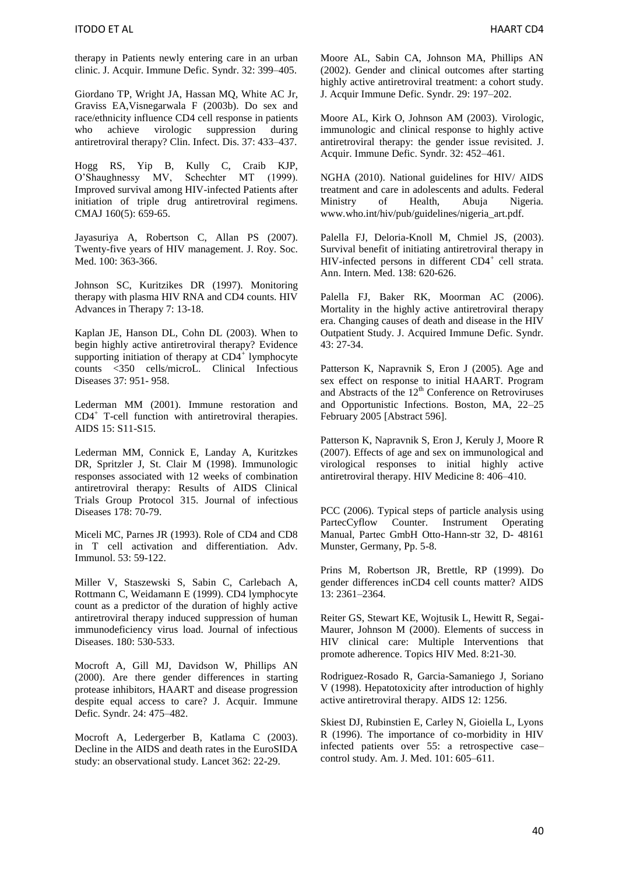therapy in Patients newly entering care in an urban clinic. J. Acquir. Immune Defic. Syndr. 32: 399–405.

Giordano TP, Wright JA, Hassan MQ, White AC Jr, Graviss EA,Visnegarwala F (2003b). Do sex and race/ethnicity influence CD4 cell response in patients who achieve virologic suppression during antiretroviral therapy? Clin. Infect. Dis. 37: 433–437.

Hogg RS, Yip B, Kully C, Craib KJP, O'Shaughnessy MV, Schechter MT (1999). Improved survival among HIV-infected Patients after initiation of triple drug antiretroviral regimens. CMAJ 160(5): 659-65.

Jayasuriya A, Robertson C, Allan PS (2007). Twenty-five years of HIV management. J. Roy. Soc. Med. 100: 363-366.

Johnson SC, Kuritzikes DR (1997). Monitoring therapy with plasma HIV RNA and CD4 counts. HIV Advances in Therapy 7: 13-18.

Kaplan JE, Hanson DL, Cohn DL (2003). When to begin highly active antiretroviral therapy? Evidence supporting initiation of therapy at  $CD4^+$  lymphocyte counts <350 cells/microL. Clinical Infectious Diseases 37: 951- 958.

Lederman MM (2001). Immune restoration and CD4<sup>+</sup> T-cell function with antiretroviral therapies. AIDS 15: S11-S15.

Lederman MM, Connick E, Landay A, Kuritzkes DR, Spritzler J, St. Clair M (1998). Immunologic responses associated with 12 weeks of combination antiretroviral therapy: Results of AIDS Clinical Trials Group Protocol 315. Journal of infectious Diseases 178: 70-79.

Miceli MC, Parnes JR (1993). Role of CD4 and CD8 in T cell activation and differentiation. Adv. Immunol. 53: 59-122.

Miller V, Staszewski S, Sabin C, Carlebach A, Rottmann C, Weidamann E (1999). CD4 lymphocyte count as a predictor of the duration of highly active antiretroviral therapy induced suppression of human immunodeficiency virus load. Journal of infectious Diseases. 180: 530-533.

Mocroft A, Gill MJ, Davidson W, Phillips AN (2000). Are there gender differences in starting protease inhibitors, HAART and disease progression despite equal access to care? J. Acquir. Immune Defic. Syndr. 24: 475–482.

Mocroft A, Ledergerber B, Katlama C (2003). Decline in the AIDS and death rates in the EuroSIDA study: an observational study. Lancet 362: 22-29.

Moore AL, Sabin CA, Johnson MA, Phillips AN (2002). Gender and clinical outcomes after starting highly active antiretroviral treatment: a cohort study. J. Acquir Immune Defic. Syndr. 29: 197–202.

Moore AL, Kirk O, Johnson AM (2003). Virologic, immunologic and clinical response to highly active antiretroviral therapy: the gender issue revisited. J. Acquir. Immune Defic. Syndr. 32: 452–461.

NGHA (2010). National guidelines for HIV/ AIDS treatment and care in adolescents and adults. Federal Ministry of Health, Abuja Nigeria. www.who.int/hiv/pub/guidelines/nigeria\_art.pdf.

Palella FJ, Deloria-Knoll M, Chmiel JS, (2003). Survival benefit of initiating antiretroviral therapy in HIV-infected persons in different CD4<sup>+</sup> cell strata. Ann. Intern. Med. 138: 620-626.

Palella FJ, Baker RK, Moorman AC (2006). Mortality in the highly active antiretroviral therapy era. Changing causes of death and disease in the HIV Outpatient Study. J. Acquired Immune Defic. Syndr. 43: 27-34.

Patterson K, Napravnik S, Eron J (2005). Age and sex effect on response to initial HAART. Program and Abstracts of the  $12<sup>th</sup>$  Conference on Retroviruses and Opportunistic Infections. Boston, MA, 22–25 February 2005 [Abstract 596].

Patterson K, Napravnik S, Eron J, Keruly J, Moore R (2007). Effects of age and sex on immunological and virological responses to initial highly active antiretroviral therapy. HIV Medicine 8: 406–410.

PCC (2006). Typical steps of particle analysis using PartecCyflow Counter. Instrument Operating Manual, Partec GmbH Otto-Hann-str 32, D- 48161 Munster, Germany, Pp. 5-8.

Prins M, Robertson JR, Brettle, RP (1999). Do gender differences inCD4 cell counts matter? AIDS 13: 2361–2364.

Reiter GS, Stewart KE, Wojtusik L, Hewitt R, Segai-Maurer, Johnson M (2000). Elements of success in HIV clinical care: Multiple Interventions that promote adherence. Topics HIV Med. 8:21-30.

Rodriguez-Rosado R, Garcia-Samaniego J, Soriano V (1998). Hepatotoxicity after introduction of highly active antiretroviral therapy. AIDS 12: 1256.

Skiest DJ, Rubinstien E, Carley N, Gioiella L, Lyons R (1996). The importance of co-morbidity in HIV infected patients over 55: a retrospective case– control study. Am. J. Med. 101: 605–611.